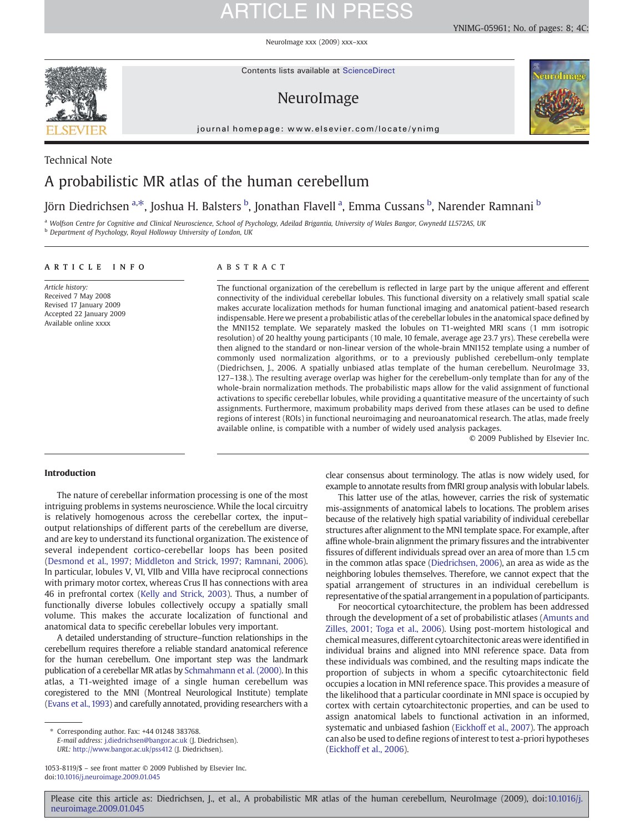NeuroImage xxx (2009) xxx–xxx



Contents lists available at ScienceDirect

### NeuroImage

journal homepage: www.elsevier.com/locate/ynimg



### Technical Note A probabilistic MR atlas of the human cerebellum

### Jörn Diedrichsen <sup>a, $\ast$ </sup>, Joshua H. Balsters <sup>b</sup>, Jonathan Flavell <sup>a</sup>, Emma Cussans <sup>b</sup>, Narender Ramnani <sup>b</sup>

a Wolfson Centre for Cognitive and Clinical Neuroscience, School of Psychology, Adeilad Brigantia, University of Wales Bangor, Gwynedd LL572AS, UK

**b** Department of Psychology, Royal Holloway University of London, UK

### article info abstract

Article history: Received 7 May 2008 Revised 17 January 2009 Accepted 22 January 2009 Available online xxxx

The functional organization of the cerebellum is reflected in large part by the unique afferent and efferent connectivity of the individual cerebellar lobules. This functional diversity on a relatively small spatial scale makes accurate localization methods for human functional imaging and anatomical patient-based research indispensable. Here we present a probabilistic atlas of the cerebellar lobules in the anatomical space defined by the MNI152 template. We separately masked the lobules on T1-weighted MRI scans (1 mm isotropic resolution) of 20 healthy young participants (10 male, 10 female, average age 23.7 yrs). These cerebella were then aligned to the standard or non-linear version of the whole-brain MNI152 template using a number of commonly used normalization algorithms, or to a previously published cerebellum-only template (Diedrichsen, J., 2006. A spatially unbiased atlas template of the human cerebellum. NeuroImage 33, 127–138.). The resulting average overlap was higher for the cerebellum-only template than for any of the whole-brain normalization methods. The probabilistic maps allow for the valid assignment of functional activations to specific cerebellar lobules, while providing a quantitative measure of the uncertainty of such assignments. Furthermore, maximum probability maps derived from these atlases can be used to define regions of interest (ROIs) in functional neuroimaging and neuroanatomical research. The atlas, made freely available online, is compatible with a number of widely used analysis packages.

© 2009 Published by Elsevier Inc.

### Introduction

The nature of cerebellar information processing is one of the most intriguing problems in systems neuroscience. While the local circuitry is relatively homogenous across the cerebellar cortex, the input– output relationships of different parts of the cerebellum are diverse, and are key to understand its functional organization. The existence of several independent cortico-cerebellar loops has been posited ([Desmond et al., 1997; Middleton and Strick, 1997; Ramnani, 2006\)](#page-6-0). In particular, lobules V, VI, VIIb and VIIIa have reciprocal connections with primary motor cortex, whereas Crus II has connections with area 46 in prefrontal cortex [\(Kelly and Strick, 2003](#page-7-0)). Thus, a number of functionally diverse lobules collectively occupy a spatially small volume. This makes the accurate localization of functional and anatomical data to specific cerebellar lobules very important.

A detailed understanding of structure–function relationships in the cerebellum requires therefore a reliable standard anatomical reference for the human cerebellum. One important step was the landmark publication of a cerebellar MR atlas by [Schmahmann et al. \(2000\)](#page-7-0). In this atlas, a T1-weighted image of a single human cerebellum was coregistered to the MNI (Montreal Neurological Institute) template ([Evans et al., 1993](#page-7-0)) and carefully annotated, providing researchers with a

⁎ Corresponding author. Fax: +44 01248 383768. E-mail address: [j.diedrichsen@bangor.ac.uk](mailto:j.diedrichsen@bangor.ac.uk) (J. Diedrichsen). URL: <http://www.bangor.ac.uk/pss412> (J. Diedrichsen).

clear consensus about terminology. The atlas is now widely used, for example to annotate results from fMRI group analysis with lobular labels.

This latter use of the atlas, however, carries the risk of systematic mis-assignments of anatomical labels to locations. The problem arises because of the relatively high spatial variability of individual cerebellar structures after alignment to the MNI template space. For example, after affine whole-brain alignment the primary fissures and the intrabiventer fissures of different individuals spread over an area of more than 1.5 cm in the common atlas space [\(Diedrichsen, 2006\)](#page-6-0), an area as wide as the neighboring lobules themselves. Therefore, we cannot expect that the spatial arrangement of structures in an individual cerebellum is representative of the spatial arrangement in a population of participants.

For neocortical cytoarchitecture, the problem has been addressed through the development of a set of probabilistic atlases ([Amunts and](#page-6-0) [Zilles, 2001; Toga et al., 2006\)](#page-6-0). Using post-mortem histological and chemical measures, different cytoarchitectonic areas were identified in individual brains and aligned into MNI reference space. Data from these individuals was combined, and the resulting maps indicate the proportion of subjects in whom a specific cytoarchitectonic field occupies a location in MNI reference space. This provides a measure of the likelihood that a particular coordinate in MNI space is occupied by cortex with certain cytoarchitectonic properties, and can be used to assign anatomical labels to functional activation in an informed, systematic and unbiased fashion ([Eickhoff et al., 2007](#page-7-0)). The approach can also be used to define regions of interest to test a-priori hypotheses ([Eickhoff et al., 2006](#page-7-0)).

<sup>1053-8119/\$</sup> – see front matter © 2009 Published by Elsevier Inc. doi:[10.1016/j.neuroimage.2009.01.045](http://dx.doi.org/10.1016/j.neuroimage.2009.01.045)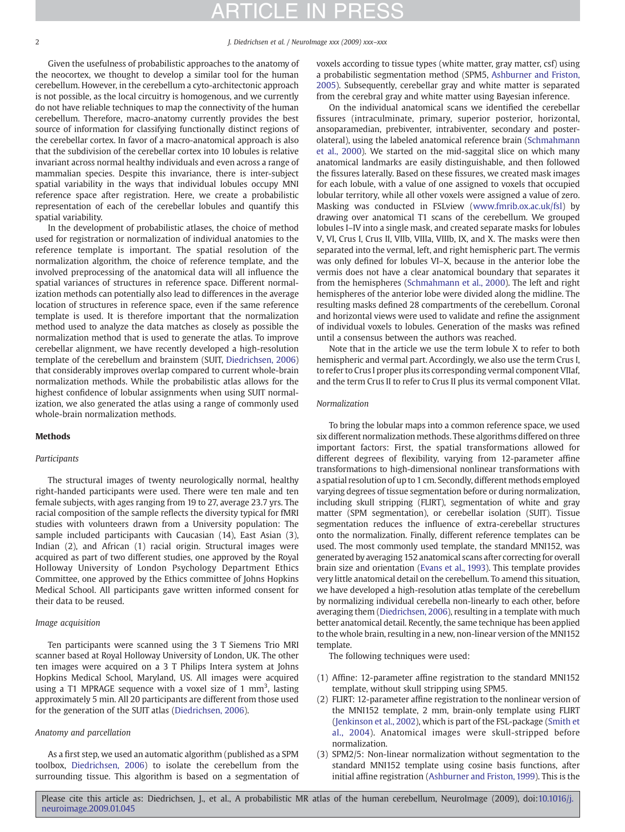2 J. Diedrichsen et al. / NeuroImage xxx (2009) xxx–xxx

Given the usefulness of probabilistic approaches to the anatomy of the neocortex, we thought to develop a similar tool for the human cerebellum. However, in the cerebellum a cyto-architectonic approach is not possible, as the local circuitry is homogenous, and we currently do not have reliable techniques to map the connectivity of the human cerebellum. Therefore, macro-anatomy currently provides the best source of information for classifying functionally distinct regions of the cerebellar cortex. In favor of a macro-anatomical approach is also that the subdivision of the cerebellar cortex into 10 lobules is relative invariant across normal healthy individuals and even across a range of mammalian species. Despite this invariance, there is inter-subject spatial variability in the ways that individual lobules occupy MNI reference space after registration. Here, we create a probabilistic representation of each of the cerebellar lobules and quantify this spatial variability.

In the development of probabilistic atlases, the choice of method used for registration or normalization of individual anatomies to the reference template is important. The spatial resolution of the normalization algorithm, the choice of reference template, and the involved preprocessing of the anatomical data will all influence the spatial variances of structures in reference space. Different normalization methods can potentially also lead to differences in the average location of structures in reference space, even if the same reference template is used. It is therefore important that the normalization method used to analyze the data matches as closely as possible the normalization method that is used to generate the atlas. To improve cerebellar alignment, we have recently developed a high-resolution template of the cerebellum and brainstem (SUIT, [Diedrichsen, 2006\)](#page-6-0) that considerably improves overlap compared to current whole-brain normalization methods. While the probabilistic atlas allows for the highest confidence of lobular assignments when using SUIT normalization, we also generated the atlas using a range of commonly used whole-brain normalization methods.

### Methods

### Participants

The structural images of twenty neurologically normal, healthy right-handed participants were used. There were ten male and ten female subjects, with ages ranging from 19 to 27, average 23.7 yrs. The racial composition of the sample reflects the diversity typical for fMRI studies with volunteers drawn from a University population: The sample included participants with Caucasian (14), East Asian (3), Indian (2), and African (1) racial origin. Structural images were acquired as part of two different studies, one approved by the Royal Holloway University of London Psychology Department Ethics Committee, one approved by the Ethics committee of Johns Hopkins Medical School. All participants gave written informed consent for their data to be reused.

### Image acquisition

Ten participants were scanned using the 3 T Siemens Trio MRI scanner based at Royal Holloway University of London, UK. The other ten images were acquired on a 3 T Philips Intera system at Johns Hopkins Medical School, Maryland, US. All images were acquired using a T1 MPRAGE sequence with a voxel size of  $1 \text{ mm}^3$ , lasting approximately 5 min. All 20 participants are different from those used for the generation of the SUIT atlas ([Diedrichsen, 2006\)](#page-6-0).

### Anatomy and parcellation

As a first step, we used an automatic algorithm (published as a SPM toolbox, [Diedrichsen, 2006\)](#page-6-0) to isolate the cerebellum from the surrounding tissue. This algorithm is based on a segmentation of voxels according to tissue types (white matter, gray matter, csf) using a probabilistic segmentation method (SPM5, [Ashburner and Friston,](#page-6-0) [2005](#page-6-0)). Subsequently, cerebellar gray and white matter is separated from the cerebral gray and white matter using Bayesian inference.

On the individual anatomical scans we identified the cerebellar fissures (intraculminate, primary, superior posterior, horizontal, ansoparamedian, prebiventer, intrabiventer, secondary and posterolateral), using the labeled anatomical reference brain ([Schmahmann](#page-7-0) [et al., 2000\)](#page-7-0). We started on the mid-saggital slice on which many anatomical landmarks are easily distinguishable, and then followed the fissures laterally. Based on these fissures, we created mask images for each lobule, with a value of one assigned to voxels that occupied lobular territory, while all other voxels were assigned a value of zero. Masking was conducted in FSLview ([www.fmrib.ox.ac.uk/fsl\)](http://www.fmrib.ox.ac.uk/fsl) by drawing over anatomical T1 scans of the cerebellum. We grouped lobules I–IV into a single mask, and created separate masks for lobules V, VI, Crus I, Crus II, VIIb, VIIIa, VIIIb, IX, and X. The masks were then separated into the vermal, left, and right hemispheric part. The vermis was only defined for lobules VI–X, because in the anterior lobe the vermis does not have a clear anatomical boundary that separates it from the hemispheres [\(Schmahmann et al., 2000](#page-7-0)). The left and right hemispheres of the anterior lobe were divided along the midline. The resulting masks defined 28 compartments of the cerebellum. Coronal and horizontal views were used to validate and refine the assignment of individual voxels to lobules. Generation of the masks was refined until a consensus between the authors was reached.

Note that in the article we use the term lobule X to refer to both hemispheric and vermal part. Accordingly, we also use the term Crus I, to refer to Crus I proper plus its corresponding vermal component VIIaf, and the term Crus II to refer to Crus II plus its vermal component VIIat.

#### Normalization

To bring the lobular maps into a common reference space, we used six different normalization methods. These algorithms differed on three important factors: First, the spatial transformations allowed for different degrees of flexibility, varying from 12-parameter affine transformations to high-dimensional nonlinear transformations with a spatial resolution of up to 1 cm. Secondly, different methods employed varying degrees of tissue segmentation before or during normalization, including skull stripping (FLIRT), segmentation of white and gray matter (SPM segmentation), or cerebellar isolation (SUIT). Tissue segmentation reduces the influence of extra-cerebellar structures onto the normalization. Finally, different reference templates can be used. The most commonly used template, the standard MNI152, was generated by averaging 152 anatomical scans after correcting for overall brain size and orientation ([Evans et al., 1993\)](#page-7-0). This template provides very little anatomical detail on the cerebellum. To amend this situation, we have developed a high-resolution atlas template of the cerebellum by normalizing individual cerebella non-linearly to each other, before averaging them [\(Diedrichsen, 2006\)](#page-6-0), resulting in a template with much better anatomical detail. Recently, the same technique has been applied to the whole brain, resulting in a new, non-linear version of the MNI152 template.

The following techniques were used:

- (1) Affine: 12-parameter affine registration to the standard MNI152 template, without skull stripping using SPM5.
- (2) FLIRT: 12-parameter affine registration to the nonlinear version of the MNI152 template, 2 mm, brain-only template using FLIRT ([Jenkinson et al., 2002](#page-7-0)), which is part of the FSL-package ([Smith et](#page-7-0) [al., 2004\)](#page-7-0). Anatomical images were skull-stripped before normalization.
- (3) SPM2/5: Non-linear normalization without segmentation to the standard MNI152 template using cosine basis functions, after initial affine registration ([Ashburner and Friston, 1999\)](#page-6-0). This is the

Please cite this article as: Diedrichsen, J., et al., A probabilistic MR atlas of the human cerebellum, NeuroImage (2009), doi[:10.1016/j.](http://dx.doi.org/10.1016/j.neuroimage.2009.01.045) [neuroimage.2009.01.045](http://dx.doi.org/10.1016/j.neuroimage.2009.01.045)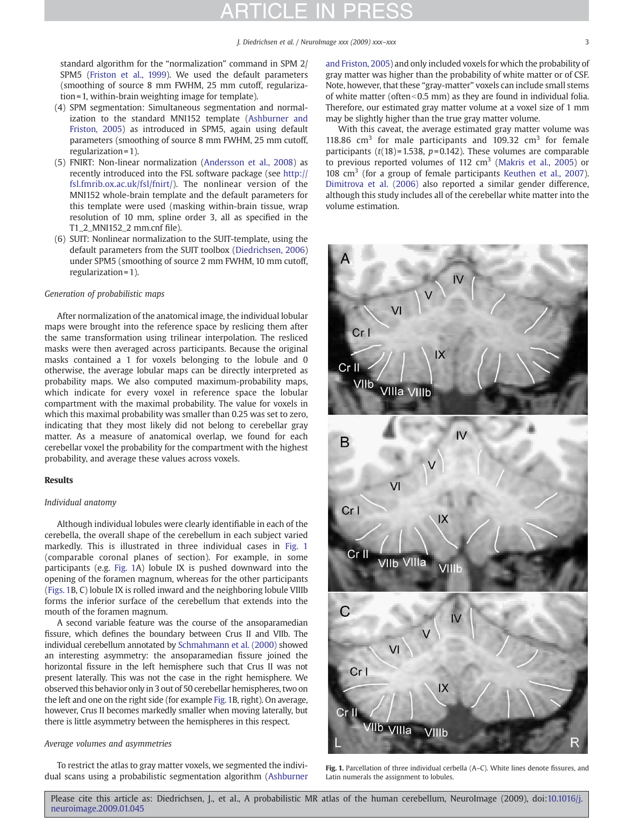standard algorithm for the "normalization" command in SPM 2/ SPM5 ([Friston et al., 1999\)](#page-7-0). We used the default parameters (smoothing of source 8 mm FWHM, 25 mm cutoff, regularization = 1, within-brain weighting image for template).

- (4) SPM segmentation: Simultaneous segmentation and normalization to the standard MNI152 template ([Ashburner and](#page-6-0) [Friston, 2005](#page-6-0)) as introduced in SPM5, again using default parameters (smoothing of source 8 mm FWHM, 25 mm cutoff, regularization = 1).
- (5) FNIRT: Non-linear normalization ([Andersson et al., 2008](#page-6-0)) as recently introduced into the FSL software package (see [http://](http://fsl.fmrib.ox.ac.uk/fsl/fnirt/) [fsl.fmrib.ox.ac.uk/fsl/fnirt/\)](http://fsl.fmrib.ox.ac.uk/fsl/fnirt/). The nonlinear version of the MNI152 whole-brain template and the default parameters for this template were used (masking within-brain tissue, wrap resolution of 10 mm, spline order 3, all as specified in the T1\_2\_MNI152\_2 mm.cnf file).
- (6) SUIT: Nonlinear normalization to the SUIT-template, using the default parameters from the SUIT toolbox ([Diedrichsen, 2006\)](#page-6-0) under SPM5 (smoothing of source 2 mm FWHM, 10 mm cutoff, regularization = 1).

### Generation of probabilistic maps

After normalization of the anatomical image, the individual lobular maps were brought into the reference space by reslicing them after the same transformation using trilinear interpolation. The resliced masks were then averaged across participants. Because the original masks contained a 1 for voxels belonging to the lobule and 0 otherwise, the average lobular maps can be directly interpreted as probability maps. We also computed maximum-probability maps, which indicate for every voxel in reference space the lobular compartment with the maximal probability. The value for voxels in which this maximal probability was smaller than 0.25 was set to zero, indicating that they most likely did not belong to cerebellar gray matter. As a measure of anatomical overlap, we found for each cerebellar voxel the probability for the compartment with the highest probability, and average these values across voxels.

#### Results

### Individual anatomy

Although individual lobules were clearly identifiable in each of the cerebella, the overall shape of the cerebellum in each subject varied markedly. This is illustrated in three individual cases in Fig. 1 (comparable coronal planes of section). For example, in some participants (e.g. Fig. 1A) lobule IX is pushed downward into the opening of the foramen magnum, whereas for the other participants (Figs. 1B, C) lobule IX is rolled inward and the neighboring lobule VIIIb forms the inferior surface of the cerebellum that extends into the mouth of the foramen magnum.

A second variable feature was the course of the ansoparamedian fissure, which defines the boundary between Crus II and VIIb. The individual cerebellum annotated by [Schmahmann et al. \(2000\)](#page-7-0) showed an interesting asymmetry: the ansoparamedian fissure joined the horizontal fissure in the left hemisphere such that Crus II was not present laterally. This was not the case in the right hemisphere. We observed this behavior only in 3 out of 50 cerebellar hemispheres, two on the left and one on the right side (for example Fig. 1B, right). On average, however, Crus II becomes markedly smaller when moving laterally, but there is little asymmetry between the hemispheres in this respect.

### Average volumes and asymmetries

To restrict the atlas to gray matter voxels, we segmented the individual scans using a probabilistic segmentation algorithm ([Ashburner](#page-6-0) [and Friston, 2005\)](#page-6-0) and only included voxels for which the probability of gray matter was higher than the probability of white matter or of CSF. Note, however, that these "gray-matter" voxels can include small stems of white matter (often $<$ 0.5 mm) as they are found in individual folia. Therefore, our estimated gray matter volume at a voxel size of 1 mm may be slightly higher than the true gray matter volume.

With this caveat, the average estimated gray matter volume was 118.86  $\text{cm}^3$  for male participants and 109.32  $\text{cm}^3$  for female participants ( $t(18)$ =1.538,  $p$ =0.142). These volumes are comparable to previous reported volumes of 112  $\text{cm}^3$  [\(Makris et al., 2005](#page-7-0)) or 108  $\text{cm}^3$  (for a group of female participants [Keuthen et al., 2007\)](#page-7-0). [Dimitrova et al. \(2006\)](#page-6-0) also reported a similar gender difference, although this study includes all of the cerebellar white matter into the volume estimation.



Fig. 1. Parcellation of three individual cerbella (A–C). White lines denote fissures, and Latin numerals the assignment to lobules.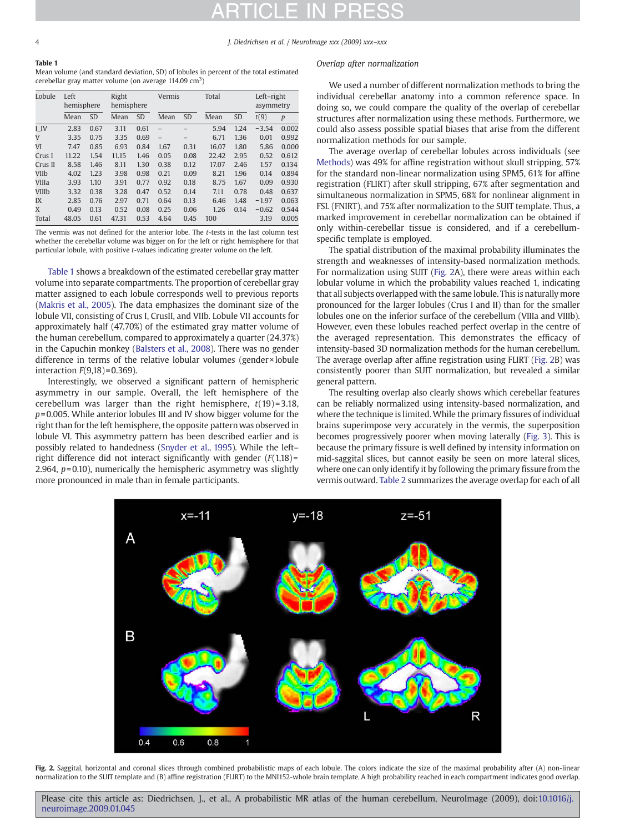4 J. Diedrichsen et al. / NeuroImage xxx (2009) xxx–xxx

| Table 1                                                                               |
|---------------------------------------------------------------------------------------|
| Mean volume (and standard deviation, SD) of lobules in percent of the total estimated |
| cerebellar gray matter volume (on average 114.09 $\text{cm}^3$ )                      |

| Lobule       | Left<br>hemisphere |           | Right<br>hemisphere |           | Vermis                   |           | Total |           | Left-right<br>asymmetry |       |
|--------------|--------------------|-----------|---------------------|-----------|--------------------------|-----------|-------|-----------|-------------------------|-------|
|              | Mean               | <b>SD</b> | Mean                | <b>SD</b> | Mean                     | <b>SD</b> | Mean  | <b>SD</b> | t(9)                    | p     |
| I IV         | 2.83               | 0.67      | 3.11                | 0.61      |                          |           | 5.94  | 1.24      | $-3.54$                 | 0.002 |
| V            | 3.35               | 0.75      | 3.35                | 0.69      | $\overline{\phantom{0}}$ |           | 6.71  | 1.36      | 0.01                    | 0.992 |
| VI           | 7.47               | 0.85      | 6.93                | 0.84      | 1.67                     | 0.31      | 16.07 | 1.80      | 5.86                    | 0.000 |
| Crus I       | 11.22              | 1.54      | 11.15               | 1.46      | 0.05                     | 0.08      | 22.42 | 2.95      | 0.52                    | 0.612 |
| Crus II      | 8.58               | 1.46      | 8.11                | 1.30      | 0.38                     | 0.12      | 17.07 | 2.46      | 1.57                    | 0.134 |
| VIIb         | 4.02               | 1.23      | 3.98                | 0.98      | 0.21                     | 0.09      | 8.21  | 1.96      | 0.14                    | 0.894 |
| <b>VIIIa</b> | 3.93               | 1.10      | 3.91                | 0.77      | 0.92                     | 0.18      | 8.75  | 1.67      | 0.09                    | 0.930 |
| VIIIb        | 3.32               | 0.38      | 3.28                | 0.47      | 0.52                     | 0.14      | 7.11  | 0.78      | 0.48                    | 0.637 |
| IX           | 2.85               | 0.76      | 2.97                | 0.71      | 0.64                     | 0.13      | 6.46  | 1.48      | $-1.97$                 | 0.063 |
| X            | 0.49               | 0.13      | 0.52                | 0.08      | 0.25                     | 0.06      | 1.26  | 0.14      | $-0.62$                 | 0.544 |
| Total        | 48.05              | 0.61      | 47.31               | 0.53      | 4.64                     | 0.45      | 100   |           | 3.19                    | 0.005 |

The vermis was not defined for the anterior lobe. The t-tests in the last column test whether the cerebellar volume was bigger on for the left or right hemisphere for that particular lobule, with positive t-values indicating greater volume on the left.

Table 1 shows a breakdown of the estimated cerebellar gray matter volume into separate compartments. The proportion of cerebellar gray matter assigned to each lobule corresponds well to previous reports ([Makris et al., 2005\)](#page-7-0). The data emphasizes the dominant size of the lobule VII, consisting of Crus I, CrusII, and VIIb. Lobule VII accounts for approximately half (47.70%) of the estimated gray matter volume of the human cerebellum, compared to approximately a quarter (24.37%) in the Capuchin monkey [\(Balsters et al., 2008\)](#page-6-0). There was no gender difference in terms of the relative lobular volumes (gender × lobule interaction  $F(9,18) = 0.369$ ).

Interestingly, we observed a significant pattern of hemispheric asymmetry in our sample. Overall, the left hemisphere of the cerebellum was larger than the right hemisphere,  $t(19) = 3.18$ ,  $p=0.005$ . While anterior lobules III and IV show bigger volume for the right than for the left hemisphere, the opposite pattern was observed in lobule VI. This asymmetry pattern has been described earlier and is possibly related to handedness [\(Snyder et al., 1995](#page-7-0)). While the left– right difference did not interact significantly with gender  $(F(1,18) =$ 2.964,  $p=0.10$ ), numerically the hemispheric asymmetry was slightly more pronounced in male than in female participants.

### Overlap after normalization

We used a number of different normalization methods to bring the individual cerebellar anatomy into a common reference space. In doing so, we could compare the quality of the overlap of cerebellar structures after normalization using these methods. Furthermore, we could also assess possible spatial biases that arise from the different normalization methods for our sample.

The average overlap of cerebellar lobules across individuals (see Methods) was 49% for affine registration without skull stripping, 57% for the standard non-linear normalization using SPM5, 61% for affine registration (FLIRT) after skull stripping, 67% after segmentation and simultaneous normalization in SPM5, 68% for nonlinear alignment in FSL (FNIRT), and 75% after normalization to the SUIT template. Thus, a marked improvement in cerebellar normalization can be obtained if only within-cerebellar tissue is considered, and if a cerebellumspecific template is employed.

The spatial distribution of the maximal probability illuminates the strength and weaknesses of intensity-based normalization methods. For normalization using SUIT (Fig. 2A), there were areas within each lobular volume in which the probability values reached 1, indicating that all subjects overlapped with the same lobule. This is naturally more pronounced for the larger lobules (Crus I and II) than for the smaller lobules one on the inferior surface of the cerebellum (VIIIa and VIIIb). However, even these lobules reached perfect overlap in the centre of the averaged representation. This demonstrates the efficacy of intensity-based 3D normalization methods for the human cerebellum. The average overlap after affine registration using FLIRT (Fig. 2B) was consistently poorer than SUIT normalization, but revealed a similar general pattern.

The resulting overlap also clearly shows which cerebellar features can be reliably normalized using intensity-based normalization, and where the technique is limited. While the primary fissures of individual brains superimpose very accurately in the vermis, the superposition becomes progressively poorer when moving laterally [\(Fig. 3\)](#page-4-0). This is because the primary fissure is well defined by intensity information on mid-saggital slices, but cannot easily be seen on more lateral slices, where one can only identify it by following the primary fissure from the vermis outward. [Table 2](#page-4-0) summarizes the average overlap for each of all



Fig. 2. Saggital, horizontal and coronal slices through combined probabilistic maps of each lobule. The colors indicate the size of the maximal probability after (A) non-linear normalization to the SUIT template and (B) affine registration (FLIRT) to the MNI152-whole brain template. A high probability reached in each compartment indicates good overlap.

Please cite this article as: Diedrichsen, J., et al., A probabilistic MR atlas of the human cerebellum, NeuroImage (2009), doi[:10.1016/j.](http://dx.doi.org/10.1016/j.neuroimage.2009.01.045) [neuroimage.2009.01.045](http://dx.doi.org/10.1016/j.neuroimage.2009.01.045)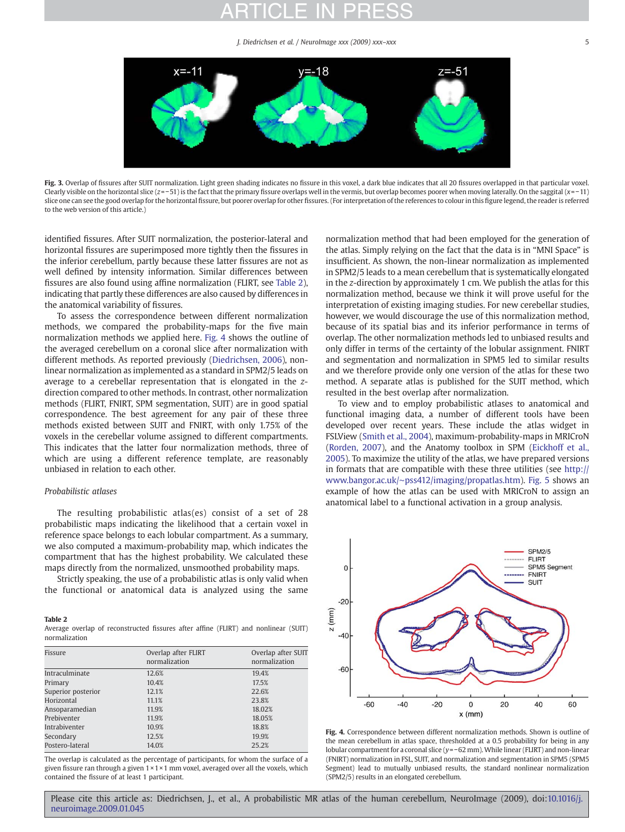J. Diedrichsen et al. / NeuroImage xxx (2009) xxx–xxx 5

<span id="page-4-0"></span>

Fig. 3. Overlap of fissures after SUIT normalization. Light green shading indicates no fissure in this voxel, a dark blue indicates that all 20 fissures overlapped in that particular voxel. Clearly visible on the horizontal slice (z=−51) is the fact that the primary fissure overlaps well in the vermis, but overlap becomes poorer when moving laterally. On the saggital (x=−11) slice one can see the good overlap for the horizontal fissure, but poorer overlap for other fissures. (For interpretation of the references to colour in this figure legend, the reader is referred to the web version of this article.)

identified fissures. After SUIT normalization, the posterior-lateral and horizontal fissures are superimposed more tightly then the fissures in the inferior cerebellum, partly because these latter fissures are not as well defined by intensity information. Similar differences between fissures are also found using affine normalization (FLIRT, see Table 2), indicating that partly these differences are also caused by differences in the anatomical variability of fissures.

To assess the correspondence between different normalization methods, we compared the probability-maps for the five main normalization methods we applied here. Fig. 4 shows the outline of the averaged cerebellum on a coronal slice after normalization with different methods. As reported previously [\(Diedrichsen, 2006\)](#page-6-0), nonlinear normalization as implemented as a standard in SPM2/5 leads on average to a cerebellar representation that is elongated in the zdirection compared to other methods. In contrast, other normalization methods (FLIRT, FNIRT, SPM segmentation, SUIT) are in good spatial correspondence. The best agreement for any pair of these three methods existed between SUIT and FNIRT, with only 1.75% of the voxels in the cerebellar volume assigned to different compartments. This indicates that the latter four normalization methods, three of which are using a different reference template, are reasonably unbiased in relation to each other.

### Probabilistic atlases

The resulting probabilistic atlas(es) consist of a set of 28 probabilistic maps indicating the likelihood that a certain voxel in reference space belongs to each lobular compartment. As a summary, we also computed a maximum-probability map, which indicates the compartment that has the highest probability. We calculated these maps directly from the normalized, unsmoothed probability maps.

Strictly speaking, the use of a probabilistic atlas is only valid when the functional or anatomical data is analyzed using the same

#### Table 2

Average overlap of reconstructed fissures after affine (FLIRT) and nonlinear (SUIT) normalization

| Fissure            | Overlap after FLIRT<br>normalization | Overlap after SUIT<br>normalization |  |  |
|--------------------|--------------------------------------|-------------------------------------|--|--|
| Intraculminate     | 12.6%                                | 19.4%                               |  |  |
| Primary            | 10.4%                                | 17.5%                               |  |  |
| Superior posterior | 12.1%                                | 22.6%                               |  |  |
| Horizontal         | 11.1%                                | 23.8%                               |  |  |
| Ansoparamedian     | 11.9%                                | 18.02%                              |  |  |
| Prebiventer        | 11.9%                                | 18.05%                              |  |  |
| Intrabiventer      | 10.9%                                | 18.8%                               |  |  |
| Secondary          | 12.5%                                | 19.9%                               |  |  |
| Postero-lateral    | 14.0%                                | 25.2%                               |  |  |

The overlap is calculated as the percentage of participants, for whom the surface of a given fissure ran through a given 1 × 1 × 1 mm voxel, averaged over all the voxels, which contained the fissure of at least 1 participant.

normalization method that had been employed for the generation of the atlas. Simply relying on the fact that the data is in "MNI Space" is insufficient. As shown, the non-linear normalization as implemented in SPM2/5 leads to a mean cerebellum that is systematically elongated in the z-direction by approximately 1 cm. We publish the atlas for this normalization method, because we think it will prove useful for the interpretation of existing imaging studies. For new cerebellar studies, however, we would discourage the use of this normalization method, because of its spatial bias and its inferior performance in terms of overlap. The other normalization methods led to unbiased results and only differ in terms of the certainty of the lobular assignment. FNIRT and segmentation and normalization in SPM5 led to similar results and we therefore provide only one version of the atlas for these two method. A separate atlas is published for the SUIT method, which resulted in the best overlap after normalization.

To view and to employ probabilistic atlases to anatomical and functional imaging data, a number of different tools have been developed over recent years. These include the atlas widget in FSLView ([Smith et al., 2004](#page-7-0)), maximum-probability-maps in MRICroN ([Rorden, 2007\)](#page-7-0), and the Anatomy toolbox in SPM ([Eickhoff et al.,](#page-7-0) [2005\)](#page-7-0). To maximize the utility of the atlas, we have prepared versions in formats that are compatible with these three utilities (see [http://](http://www.bangor.ac.uk/~pss412/imaging/propatlas.htm) www.bangor.ac.uk/∼[pss412/imaging/propatlas.htm\)](http://www.bangor.ac.uk/~pss412/imaging/propatlas.htm). [Fig. 5](#page-5-0) shows an example of how the atlas can be used with MRICroN to assign an anatomical label to a functional activation in a group analysis.



Fig. 4. Correspondence between different normalization methods. Shown is outline of the mean cerebellum in atlas space, thresholded at a 0.5 probability for being in any lobular compartment for a coronal slice (y=−62 mm).While linear (FLIRT) and non-linear (FNIRT) normalization in FSL, SUIT, and normalization and segmentation in SPM5 (SPM5 Segment) lead to mutually unbiased results, the standard nonlinear normalization (SPM2/5) results in an elongated cerebellum.

### Please cite this article as: Diedrichsen, J., et al., A probabilistic MR atlas of the human cerebellum, NeuroImage (2009), doi:[10.1016/j.](http://dx.doi.org/10.1016/j.neuroimage.2009.01.045) [neuroimage.2009.01.045](http://dx.doi.org/10.1016/j.neuroimage.2009.01.045)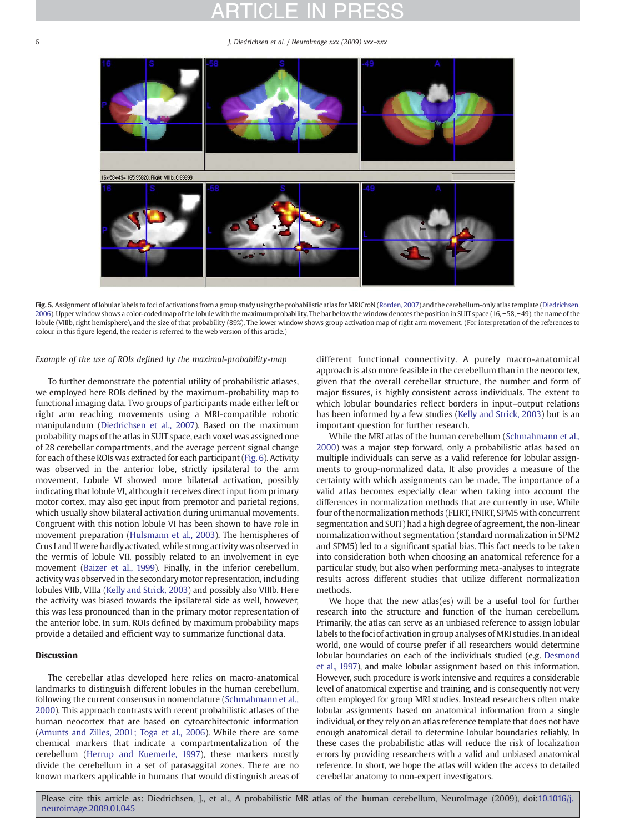<span id="page-5-0"></span>6 J. Diedrichsen et al. / NeuroImage xxx (2009) xxx–xxx



Fig. 5. Assignment of lobular labels to foci of activations from a group study using the probabilistic atlas for MRICroN ([Rorden, 2007](#page-7-0)) and the cerebellum-only atlas template [\(Diedrichsen,](#page-6-0) [2006](#page-6-0)). Upper window shows a color-coded map of the lobule with the maximum probability. The bar below the window denotes the position in SUIT space (16, −58, −49), the name of the lobule (VIIIb, right hemisphere), and the size of that probability (89%). The lower window shows group activation map of right arm movement. (For interpretation of the references to colour in this figure legend, the reader is referred to the web version of this article.)

### Example of the use of ROIs defined by the maximal-probability-map

To further demonstrate the potential utility of probabilistic atlases, we employed here ROIs defined by the maximum-probability map to functional imaging data. Two groups of participants made either left or right arm reaching movements using a MRI-compatible robotic manipulandum [\(Diedrichsen et al., 2007\)](#page-6-0). Based on the maximum probability maps of the atlas in SUIT space, each voxel was assigned one of 28 cerebellar compartments, and the average percent signal change for each of these ROIs was extracted for each participant [\(Fig. 6](#page-6-0)). Activity was observed in the anterior lobe, strictly ipsilateral to the arm movement. Lobule VI showed more bilateral activation, possibly indicating that lobule VI, although it receives direct input from primary motor cortex, may also get input from premotor and parietal regions, which usually show bilateral activation during unimanual movements. Congruent with this notion lobule VI has been shown to have role in movement preparation ([Hulsmann et al., 2003\)](#page-7-0). The hemispheres of Crus I and II were hardly activated, while strong activity was observed in the vermis of lobule VII, possibly related to an involvement in eye movement ([Baizer et al., 1999\)](#page-6-0). Finally, in the inferior cerebellum, activity was observed in the secondary motor representation, including lobules VIIb, VIIIa [\(Kelly and Strick, 2003](#page-7-0)) and possibly also VIIIb. Here the activity was biased towards the ipsilateral side as well, however, this was less pronounced than in the primary motor representation of the anterior lobe. In sum, ROIs defined by maximum probability maps provide a detailed and efficient way to summarize functional data.

#### **Discussion**

The cerebellar atlas developed here relies on macro-anatomical landmarks to distinguish different lobules in the human cerebellum, following the current consensus in nomenclature ([Schmahmann et al.,](#page-7-0) [2000](#page-7-0)). This approach contrasts with recent probabilistic atlases of the human neocortex that are based on cytoarchitectonic information ([Amunts and Zilles, 2001; Toga et al., 2006\)](#page-6-0). While there are some chemical markers that indicate a compartmentalization of the cerebellum ([Herrup and Kuemerle, 1997\)](#page-7-0), these markers mostly divide the cerebellum in a set of parasaggital zones. There are no known markers applicable in humans that would distinguish areas of different functional connectivity. A purely macro-anatomical approach is also more feasible in the cerebellum than in the neocortex, given that the overall cerebellar structure, the number and form of major fissures, is highly consistent across individuals. The extent to which lobular boundaries reflect borders in input–output relations has been informed by a few studies ([Kelly and Strick, 2003\)](#page-7-0) but is an important question for further research.

While the MRI atlas of the human cerebellum [\(Schmahmann et al.,](#page-7-0) [2000](#page-7-0)) was a major step forward, only a probabilistic atlas based on multiple individuals can serve as a valid reference for lobular assignments to group-normalized data. It also provides a measure of the certainty with which assignments can be made. The importance of a valid atlas becomes especially clear when taking into account the differences in normalization methods that are currently in use. While four of the normalization methods (FLIRT, FNIRT, SPM5 with concurrent segmentation and SUIT) had a high degree of agreement, the non-linear normalization without segmentation (standard normalization in SPM2 and SPM5) led to a significant spatial bias. This fact needs to be taken into consideration both when choosing an anatomical reference for a particular study, but also when performing meta-analyses to integrate results across different studies that utilize different normalization methods.

We hope that the new atlas(es) will be a useful tool for further research into the structure and function of the human cerebellum. Primarily, the atlas can serve as an unbiased reference to assign lobular labels to the foci of activation in group analyses of MRI studies. In an ideal world, one would of course prefer if all researchers would determine lobular boundaries on each of the individuals studied (e.g. [Desmond](#page-6-0) [et al., 1997](#page-6-0)), and make lobular assignment based on this information. However, such procedure is work intensive and requires a considerable level of anatomical expertise and training, and is consequently not very often employed for group MRI studies. Instead researchers often make lobular assignments based on anatomical information from a single individual, or they rely on an atlas reference template that does not have enough anatomical detail to determine lobular boundaries reliably. In these cases the probabilistic atlas will reduce the risk of localization errors by providing researchers with a valid and unbiased anatomical reference. In short, we hope the atlas will widen the access to detailed cerebellar anatomy to non-expert investigators.

Please cite this article as: Diedrichsen, J., et al., A probabilistic MR atlas of the human cerebellum, NeuroImage (2009), doi[:10.1016/j.](http://dx.doi.org/10.1016/j.neuroimage.2009.01.045) [neuroimage.2009.01.045](http://dx.doi.org/10.1016/j.neuroimage.2009.01.045)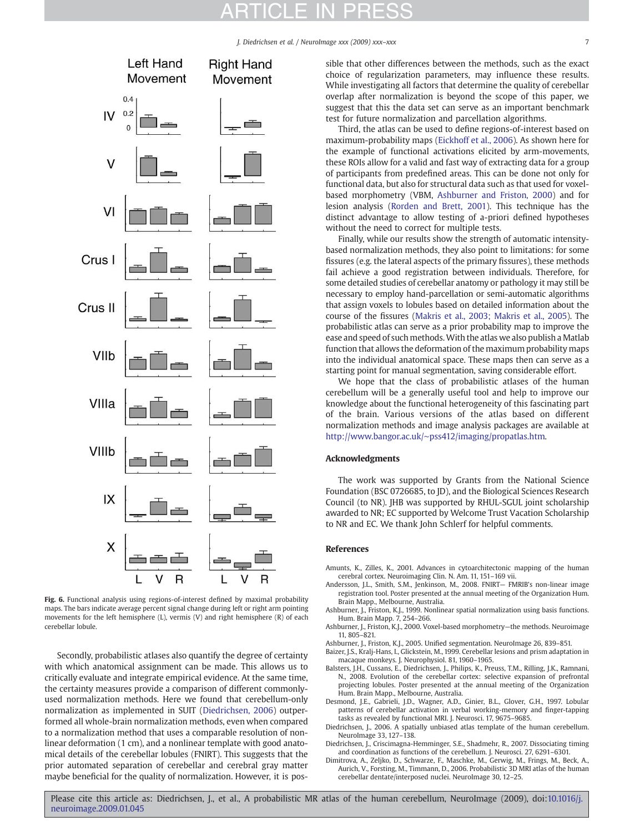J. Diedrichsen et al. / NeuroImage xxx (2009) xxx-xxx

<span id="page-6-0"></span>

Fig. 6. Functional analysis using regions-of-interest defined by maximal probability maps. The bars indicate average percent signal change during left or right arm pointing movements for the left hemisphere (L), vermis (V) and right hemisphere (R) of each cerebellar lobule.

Secondly, probabilistic atlases also quantify the degree of certainty with which anatomical assignment can be made. This allows us to critically evaluate and integrate empirical evidence. At the same time, the certainty measures provide a comparison of different commonlyused normalization methods. Here we found that cerebellum-only normalization as implemented in SUIT (Diedrichsen, 2006) outperformed all whole-brain normalization methods, even when compared to a normalization method that uses a comparable resolution of nonlinear deformation (1 cm), and a nonlinear template with good anatomical details of the cerebellar lobules (FNIRT). This suggests that the prior automated separation of cerebellar and cerebral gray matter maybe beneficial for the quality of normalization. However, it is possible that other differences between the methods, such as the exact choice of regularization parameters, may influence these results. While investigating all factors that determine the quality of cerebellar overlap after normalization is beyond the scope of this paper, we suggest that this the data set can serve as an important benchmark test for future normalization and parcellation algorithms.

Third, the atlas can be used to define regions-of-interest based on maximum-probability maps ([Eickhoff et al., 2006\)](#page-7-0). As shown here for the example of functional activations elicited by arm-movements, these ROIs allow for a valid and fast way of extracting data for a group of participants from predefined areas. This can be done not only for functional data, but also for structural data such as that used for voxelbased morphometry (VBM, Ashburner and Friston, 2000) and for lesion analysis ([Rorden and Brett, 2001\)](#page-7-0). This technique has the distinct advantage to allow testing of a-priori defined hypotheses without the need to correct for multiple tests.

Finally, while our results show the strength of automatic intensitybased normalization methods, they also point to limitations: for some fissures (e.g. the lateral aspects of the primary fissures), these methods fail achieve a good registration between individuals. Therefore, for some detailed studies of cerebellar anatomy or pathology it may still be necessary to employ hand-parcellation or semi-automatic algorithms that assign voxels to lobules based on detailed information about the course of the fissures ([Makris et al., 2003; Makris et al., 2005](#page-7-0)). The probabilistic atlas can serve as a prior probability map to improve the ease and speed of such methods.With the atlas we also publish a Matlab function that allows the deformation of the maximum probability maps into the individual anatomical space. These maps then can serve as a starting point for manual segmentation, saving considerable effort.

We hope that the class of probabilistic atlases of the human cerebellum will be a generally useful tool and help to improve our knowledge about the functional heterogeneity of this fascinating part of the brain. Various versions of the atlas based on different normalization methods and image analysis packages are available at http://www.bangor.ac.uk/∼[pss412/imaging/propatlas.htm](http://www.bangor.ac.uk/~pss412/imaging/propatlas.htm).

### Acknowledgments

The work was supported by Grants from the National Science Foundation (BSC 0726685, to JD), and the Biological Sciences Research Council (to NR). JHB was supported by RHUL-SGUL joint scholarship awarded to NR; EC supported by Welcome Trust Vacation Scholarship to NR and EC. We thank John Schlerf for helpful comments.

#### References

- Amunts, K., Zilles, K., 2001. Advances in cytoarchitectonic mapping of the human cerebral cortex. Neuroimaging Clin. N. Am. 11, 151–169 vii.
- Andersson, J.L., Smith, S.M., Jenkinson, M., 2008. FNIRT— FMRIB's non-linear image registration tool. Poster presented at the annual meeting of the Organization Hum. Brain Mapp., Melbourne, Australia.
- Ashburner, J., Friston, K.J., 1999. Nonlinear spatial normalization using basis functions. Hum. Brain Mapp. 7, 254–266.
- Ashburner, J., Friston, K.J., 2000. Voxel-based morphometry—the methods. Neuroimage 11, 805–821.
- Ashburner, J., Friston, K.J., 2005. Unified segmentation. NeuroImage 26, 839–851.
- Baizer, J.S., Kralj-Hans, I., Glickstein, M., 1999. Cerebellar lesions and prism adaptation in macaque monkeys. J. Neurophysiol. 81, 1960–1965.
- Balsters, J.H., Cussans, E., Diedrichsen, J., Philips, K., Preuss, T.M., Rilling, J.K., Ramnani, N., 2008. Evolution of the cerebellar cortex: selective expansion of prefrontal projecting lobules. Poster presented at the annual meeting of the Organization Hum. Brain Mapp., Melbourne, Australia.
- Desmond, J.E., Gabrieli, J.D., Wagner, A.D., Ginier, B.L., Glover, G.H., 1997. Lobular patterns of cerebellar activation in verbal working-memory and finger-tapping tasks as revealed by functional MRI. J. Neurosci. 17, 9675–9685.
- Diedrichsen, J., 2006. A spatially unbiased atlas template of the human cerebellum. NeuroImage 33, 127–138.
- Diedrichsen, J., Criscimagna-Hemminger, S.E., Shadmehr, R., 2007. Dissociating timing and coordination as functions of the cerebellum. J. Neurosci. 27, 6291–6301.
- Dimitrova, A., Zeljko, D., Schwarze, F., Maschke, M., Gerwig, M., Frings, M., Beck, A., Aurich, V., Forsting, M., Timmann, D., 2006. Probabilistic 3D MRI atlas of the human cerebellar dentate/interposed nuclei. NeuroImage 30, 12–25.

Please cite this article as: Diedrichsen, J., et al., A probabilistic MR atlas of the human cerebellum, NeuroImage (2009), doi:[10.1016/j.](http://dx.doi.org/10.1016/j.neuroimage.2009.01.045) [neuroimage.2009.01.045](http://dx.doi.org/10.1016/j.neuroimage.2009.01.045)